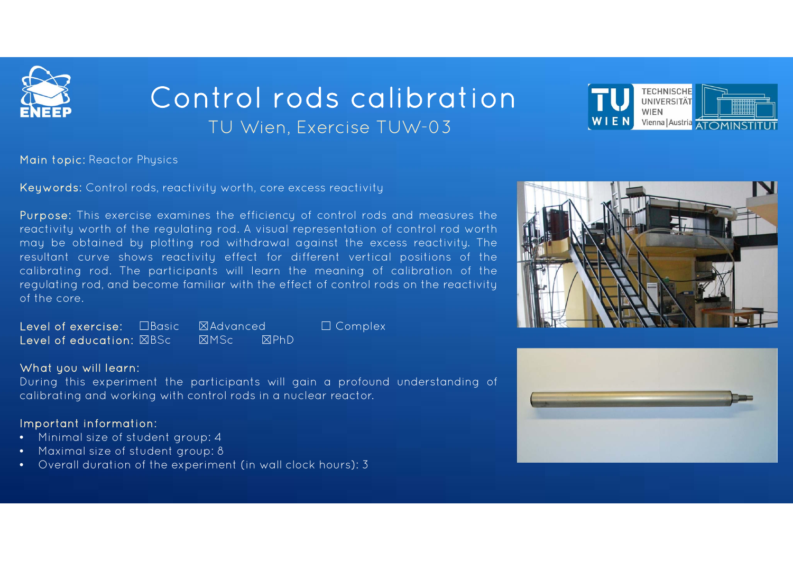

# Control rods calibrationTU Wien, Exercise TUW-03



Main topic: Reactor Physics

Keywords: Control rods, reactivity worth, core excess reactivity

Purpose: This exercise examines the efficiency of control rods and measures the reactivity worth of the regulating rod. A visual representation of control rod worth may be obtained by plotting rod withdrawal against the excess reactivity. The resultant curve shows reactivity effect for different vertical positions of the calibrating rod. The participants will learn the meaning of calibration of the regulating rod, and become familiar with the effect of control rods on the reactivity of the core.

Level of exercise: ☐Basic ☒Advancedd □ Complex Level of education: ☒BSc☒MSc ☒PhD

#### What you will learn:

During this experiment the participants will gain <sup>a</sup> profound understanding of calibrating and working with control rods in <sup>a</sup> nuclear reactor.

## Important information:

- •Minimal size of student group: 4
- •Maximal size of student group: 8
- •Overall duration of the experiment (in wall clock hours): 3